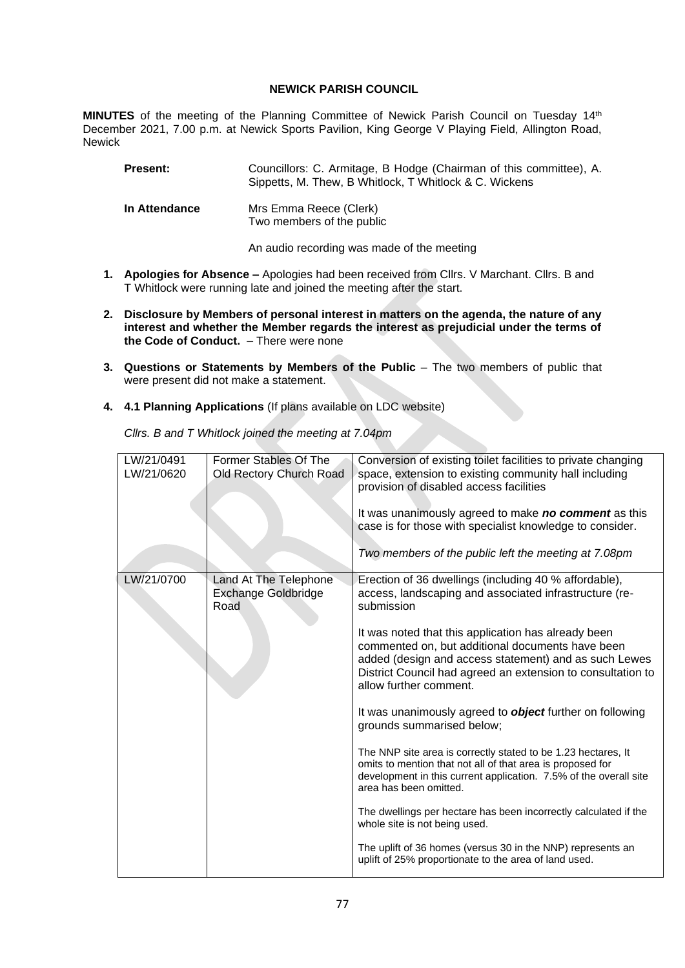## **NEWICK PARISH COUNCIL**

**MINUTES** of the meeting of the Planning Committee of Newick Parish Council on Tuesday 14th December 2021, 7.00 p.m. at Newick Sports Pavilion, King George V Playing Field, Allington Road, Newick

| <b>Present:</b>      | Councillors: C. Armitage, B Hodge (Chairman of this committee), A.<br>Sippetts, M. Thew, B Whitlock, T Whitlock & C. Wickens |
|----------------------|------------------------------------------------------------------------------------------------------------------------------|
| <b>In Attendance</b> | Mrs Emma Reece (Clerk)<br>Two members of the public                                                                          |

An audio recording was made of the meeting

- **1. Apologies for Absence –** Apologies had been received from Cllrs. V Marchant. Cllrs. B and T Whitlock were running late and joined the meeting after the start.
- **2. Disclosure by Members of personal interest in matters on the agenda, the nature of any interest and whether the Member regards the interest as prejudicial under the terms of the Code of Conduct.** – There were none
- **3. Questions or Statements by Members of the Public** The two members of public that were present did not make a statement.
- **4. 4.1 Planning Applications** (If plans available on LDC website)

*Cllrs. B and T Whitlock joined the meeting at 7.04pm*

| LW/21/0491<br>LW/21/0620 | Former Stables Of The<br>Old Rectory Church Road            | Conversion of existing toilet facilities to private changing<br>space, extension to existing community hall including<br>provision of disabled access facilities<br>It was unanimously agreed to make no comment as this<br>case is for those with specialist knowledge to consider.<br>Two members of the public left the meeting at 7.08pm                                                                                                                                                                                                                                                                                                                                                                                                                                                                                                                                                                                                          |
|--------------------------|-------------------------------------------------------------|-------------------------------------------------------------------------------------------------------------------------------------------------------------------------------------------------------------------------------------------------------------------------------------------------------------------------------------------------------------------------------------------------------------------------------------------------------------------------------------------------------------------------------------------------------------------------------------------------------------------------------------------------------------------------------------------------------------------------------------------------------------------------------------------------------------------------------------------------------------------------------------------------------------------------------------------------------|
| LW/21/0700               | Land At The Telephone<br><b>Exchange Goldbridge</b><br>Road | Erection of 36 dwellings (including 40 % affordable),<br>access, landscaping and associated infrastructure (re-<br>submission<br>It was noted that this application has already been<br>commented on, but additional documents have been<br>added (design and access statement) and as such Lewes<br>District Council had agreed an extension to consultation to<br>allow further comment.<br>It was unanimously agreed to <b>object</b> further on following<br>grounds summarised below;<br>The NNP site area is correctly stated to be 1.23 hectares, It<br>omits to mention that not all of that area is proposed for<br>development in this current application. 7.5% of the overall site<br>area has been omitted.<br>The dwellings per hectare has been incorrectly calculated if the<br>whole site is not being used.<br>The uplift of 36 homes (versus 30 in the NNP) represents an<br>uplift of 25% proportionate to the area of land used. |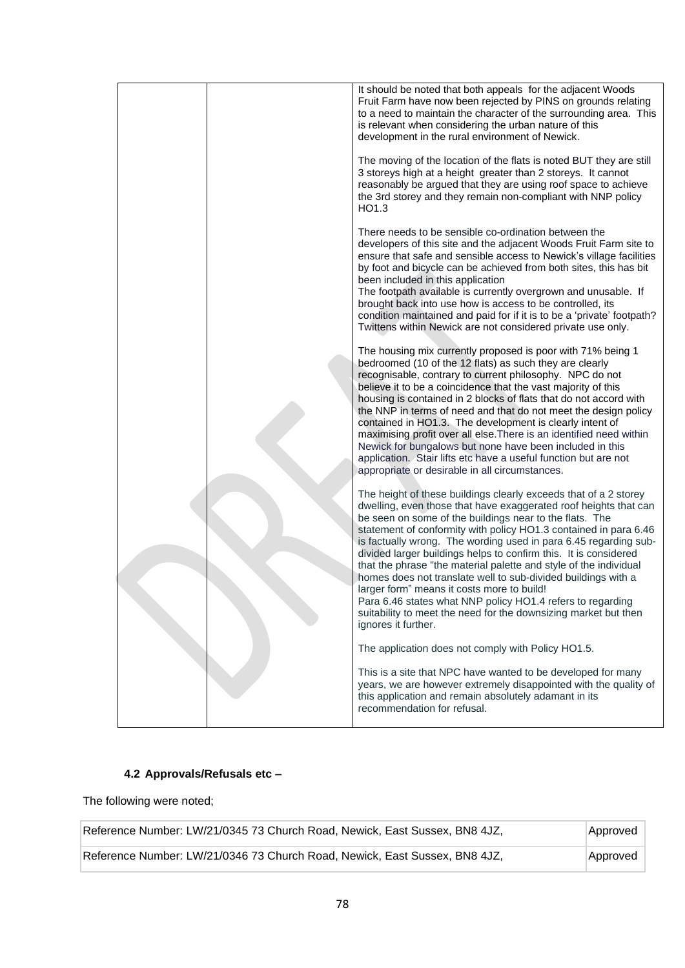|  | It should be noted that both appeals for the adjacent Woods<br>Fruit Farm have now been rejected by PINS on grounds relating<br>to a need to maintain the character of the surrounding area. This<br>is relevant when considering the urban nature of this<br>development in the rural environment of Newick.                                                                                                                                                                                                                                                                                                                                                                                                                                           |
|--|---------------------------------------------------------------------------------------------------------------------------------------------------------------------------------------------------------------------------------------------------------------------------------------------------------------------------------------------------------------------------------------------------------------------------------------------------------------------------------------------------------------------------------------------------------------------------------------------------------------------------------------------------------------------------------------------------------------------------------------------------------|
|  | The moving of the location of the flats is noted BUT they are still<br>3 storeys high at a height greater than 2 storeys. It cannot<br>reasonably be argued that they are using roof space to achieve<br>the 3rd storey and they remain non-compliant with NNP policy<br>HO <sub>1.3</sub>                                                                                                                                                                                                                                                                                                                                                                                                                                                              |
|  | There needs to be sensible co-ordination between the<br>developers of this site and the adjacent Woods Fruit Farm site to<br>ensure that safe and sensible access to Newick's village facilities<br>by foot and bicycle can be achieved from both sites, this has bit<br>been included in this application<br>The footpath available is currently overgrown and unusable. If<br>brought back into use how is access to be controlled, its<br>condition maintained and paid for if it is to be a 'private' footpath?<br>Twittens within Newick are not considered private use only.                                                                                                                                                                      |
|  | The housing mix currently proposed is poor with 71% being 1<br>bedroomed (10 of the 12 flats) as such they are clearly<br>recognisable, contrary to current philosophy. NPC do not<br>believe it to be a coincidence that the vast majority of this<br>housing is contained in 2 blocks of flats that do not accord with<br>the NNP in terms of need and that do not meet the design policy<br>contained in HO1.3. The development is clearly intent of<br>maximising profit over all else. There is an identified need within<br>Newick for bungalows but none have been included in this<br>application. Stair lifts etc have a useful function but are not<br>appropriate or desirable in all circumstances.                                         |
|  | The height of these buildings clearly exceeds that of a 2 storey<br>dwelling, even those that have exaggerated roof heights that can<br>be seen on some of the buildings near to the flats. The<br>statement of conformity with policy HO1.3 contained in para 6.46<br>is factually wrong. The wording used in para 6.45 regarding sub-<br>divided larger buildings helps to confirm this. It is considered<br>that the phrase "the material palette and style of the individual<br>homes does not translate well to sub-divided buildings with a<br>larger form" means it costs more to build!<br>Para 6.46 states what NNP policy HO1.4 refers to regarding<br>suitability to meet the need for the downsizing market but then<br>ignores it further. |
|  | The application does not comply with Policy HO1.5.<br>This is a site that NPC have wanted to be developed for many<br>years, we are however extremely disappointed with the quality of<br>this application and remain absolutely adamant in its<br>recommendation for refusal.                                                                                                                                                                                                                                                                                                                                                                                                                                                                          |

## **4.2 Approvals/Refusals etc –**

The following were noted;

| Reference Number: LW/21/0345 73 Church Road, Newick, East Sussex, BN8 4JZ, | Approved |  |
|----------------------------------------------------------------------------|----------|--|
| Reference Number: LW/21/0346 73 Church Road, Newick, East Sussex, BN8 4JZ, | Approved |  |